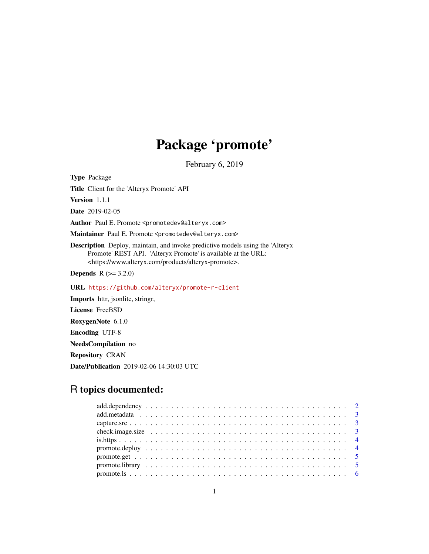# Package 'promote'

February 6, 2019

Type Package

Title Client for the 'Alteryx Promote' API

Version 1.1.1

Date 2019-02-05

Author Paul E. Promote <promotedev@alteryx.com>

Maintainer Paul E. Promote <promotedev@alteryx.com>

Description Deploy, maintain, and invoke predictive models using the 'Alteryx Promote' REST API. 'Alteryx Promote' is available at the URL: <https://www.alteryx.com/products/alteryx-promote>.

**Depends** R  $(>= 3.2.0)$ 

URL <https://github.com/alteryx/promote-r-client>

Imports httr, jsonlite, stringr, License FreeBSD RoxygenNote 6.1.0 Encoding UTF-8 NeedsCompilation no Repository CRAN Date/Publication 2019-02-06 14:30:03 UTC

# R topics documented:

| check.image.size $\ldots \ldots \ldots \ldots \ldots \ldots \ldots \ldots \ldots \ldots \ldots \ldots \ldots$ |  |  |  |  |  |  |  |  |  |  |  |  |  |  |  |  |  |  |  |  |
|---------------------------------------------------------------------------------------------------------------|--|--|--|--|--|--|--|--|--|--|--|--|--|--|--|--|--|--|--|--|
|                                                                                                               |  |  |  |  |  |  |  |  |  |  |  |  |  |  |  |  |  |  |  |  |
|                                                                                                               |  |  |  |  |  |  |  |  |  |  |  |  |  |  |  |  |  |  |  |  |
|                                                                                                               |  |  |  |  |  |  |  |  |  |  |  |  |  |  |  |  |  |  |  |  |
|                                                                                                               |  |  |  |  |  |  |  |  |  |  |  |  |  |  |  |  |  |  |  |  |
|                                                                                                               |  |  |  |  |  |  |  |  |  |  |  |  |  |  |  |  |  |  |  |  |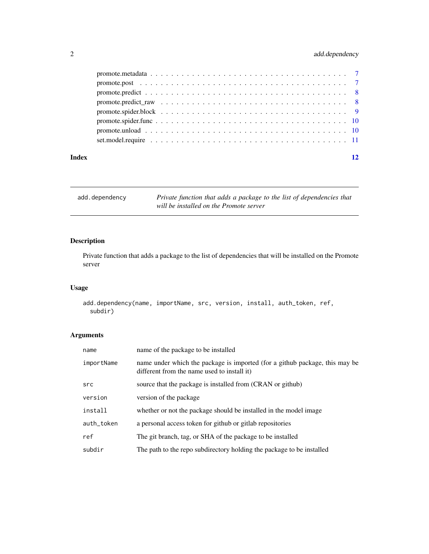# <span id="page-1-0"></span>2 add.dependency

| Index | 12 |  |
|-------|----|--|
|       |    |  |
|       |    |  |
|       |    |  |
|       |    |  |
|       |    |  |
|       |    |  |
|       |    |  |
|       |    |  |

add.dependency *Private function that adds a package to the list of dependencies that will be installed on the Promote server*

# Description

Private function that adds a package to the list of dependencies that will be installed on the Promote server

# Usage

```
add.dependency(name, importName, src, version, install, auth_token, ref,
  subdir)
```

| name       | name of the package to be installed                                                                                        |
|------------|----------------------------------------------------------------------------------------------------------------------------|
| importName | name under which the package is imported (for a github package, this may be<br>different from the name used to install it) |
| src        | source that the package is installed from (CRAN or github)                                                                 |
| version    | version of the package                                                                                                     |
| install    | whether or not the package should be installed in the model image                                                          |
| auth_token | a personal access token for github or gitlab repositories                                                                  |
| ref        | The git branch, tag, or SHA of the package to be installed                                                                 |
| subdir     | The path to the repo subdirectory holding the package to be installed                                                      |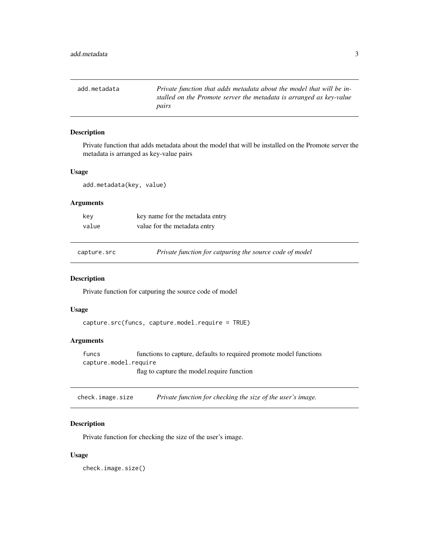<span id="page-2-0"></span>

| add.metadata | Private function that adds metadata about the model that will be in-<br>stalled on the Promote server the metadata is arranged as key-value |
|--------------|---------------------------------------------------------------------------------------------------------------------------------------------|
|              | pairs                                                                                                                                       |

#### Description

Private function that adds metadata about the model that will be installed on the Promote server the metadata is arranged as key-value pairs

#### Usage

add.metadata(key, value)

### Arguments

| key   | key name for the metadata entry |
|-------|---------------------------------|
| value | value for the metadata entry    |

capture.src *Private function for catpuring the source code of model*

#### Description

Private function for catpuring the source code of model

#### Usage

capture.src(funcs, capture.model.require = TRUE)

# Arguments

funcs functions to capture, defaults to required promote model functions capture.model.require flag to capture the model.require function

check.image.size *Private function for checking the size of the user's image.*

#### Description

Private function for checking the size of the user's image.

#### Usage

check.image.size()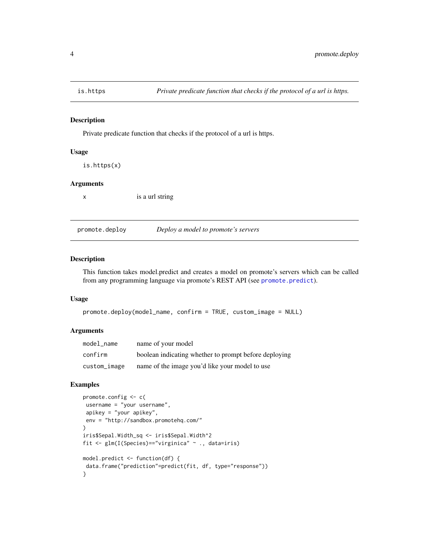<span id="page-3-0"></span>

### Description

Private predicate function that checks if the protocol of a url is https.

#### Usage

```
is.https(x)
```
#### Arguments

x is a url string

promote.deploy *Deploy a model to promote's servers*

# Description

This function takes model.predict and creates a model on promote's servers which can be called from any programming language via promote's REST API (see [promote.predict](#page-7-1)).

#### Usage

promote.deploy(model\_name, confirm = TRUE, custom\_image = NULL)

# Arguments

| model name   | name of your model                                    |
|--------------|-------------------------------------------------------|
| confirm      | boolean indicating whether to prompt before deploying |
| custom_image | name of the image you'd like your model to use        |

# Examples

```
promote.config <- c(
username = "your username",
 apikey = "your apikey",
 env = "http://sandbox.promotehq.com/"
)
iris$Sepal.Width_sq <- iris$Sepal.Width^2
fit <- glm(I(Species)=="virginica" ~ ., data=iris)
model.predict <- function(df) {
data.frame("prediction"=predict(fit, df, type="response"))
}
```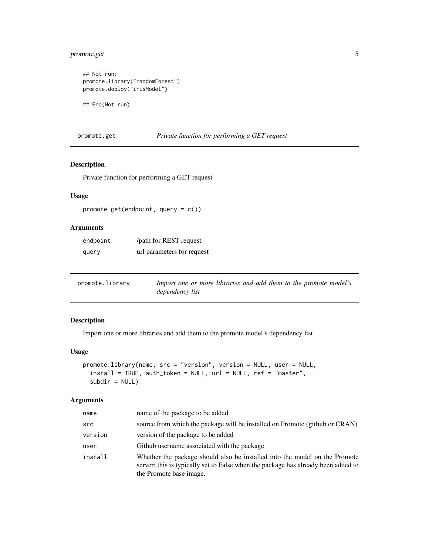# <span id="page-4-0"></span>promote.get 5

```
## Not run:
promote.library("randomForest")
promote.deploy("irisModel")
```
## End(Not run)

promote.get *Private function for performing a GET request*

# Description

Private function for performing a GET request

# Usage

```
promote.get(endpoint, query = c())
```
# Arguments

| endpoint | /path for REST request     |
|----------|----------------------------|
| query    | url parameters for request |

| promote.library | Import one or more libraries and add them to the promote model's |  |  |  |
|-----------------|------------------------------------------------------------------|--|--|--|
|                 | dependency list                                                  |  |  |  |

#### Description

Import one or more libraries and add them to the promote model's dependency list

#### Usage

```
promote.library(name, src = "version", version = NULL, user = NULL,
  install = TRUE, auth_token = NULL, url = NULL, ref = "master",
  subdir = NULL)
```

| name    | name of the package to be added                                                                                                                                                            |
|---------|--------------------------------------------------------------------------------------------------------------------------------------------------------------------------------------------|
| src     | source from which the package will be installed on Promote (github or CRAN)                                                                                                                |
| version | version of the package to be added                                                                                                                                                         |
| user    | Github username associated with the package                                                                                                                                                |
| install | Whether the package should also be installed into the model on the Promote<br>server; this is typically set to False when the package has already been added to<br>the Promote base image. |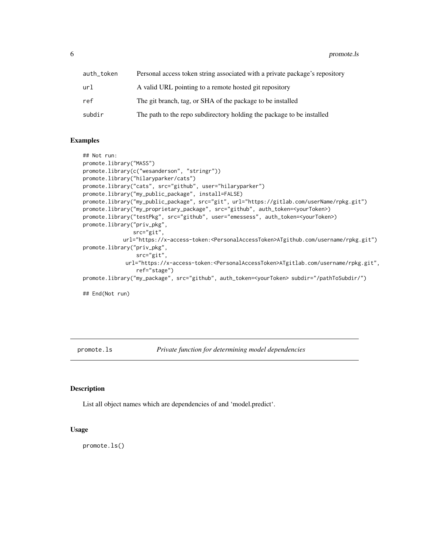<span id="page-5-0"></span>

| auth_token | Personal access token string associated with a private package's repository |
|------------|-----------------------------------------------------------------------------|
| url        | A valid URL pointing to a remote hosted git repository                      |
| ref        | The git branch, tag, or SHA of the package to be installed                  |
| subdir     | The path to the repo subdirectory holding the package to be installed       |

### Examples

```
## Not run:
promote.library("MASS")
promote.library(c("wesanderson", "stringr"))
promote.library("hilaryparker/cats")
promote.library("cats", src="github", user="hilaryparker")
promote.library("my_public_package", install=FALSE)
promote.library("my_public_package", src="git", url="https://gitlab.com/userName/rpkg.git")
promote.library("my_proprietary_package", src="github", auth_token=<yourToken>)
promote.library("testPkg", src="github", user="emessess", auth_token=<yourToken>)
promote.library("priv_pkg",
                src="git",
            url="https://x-access-token:<PersonalAccessToken>ATgithub.com/username/rpkg.git")
promote.library("priv_pkg",
                 src="git",
             url="https://x-access-token:<PersonalAccessToken>ATgitlab.com/username/rpkg.git",
                 ref="stage")
promote.library("my_package", src="github", auth_token=<yourToken> subdir="/pathToSubdir/")
## End(Not run)
```
promote.ls *Private function for determining model dependencies*

# Description

List all object names which are dependencies of and 'model.predict'.

#### Usage

promote.ls()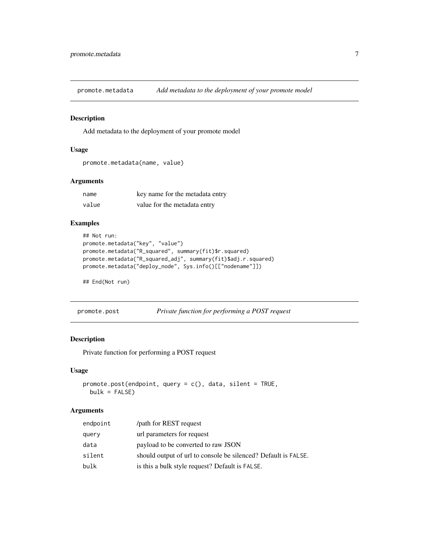<span id="page-6-0"></span>promote.metadata *Add metadata to the deployment of your promote model*

#### Description

Add metadata to the deployment of your promote model

### Usage

```
promote.metadata(name, value)
```
# Arguments

| name  | key name for the metadata entry |
|-------|---------------------------------|
| value | value for the metadata entry    |

# Examples

```
## Not run:
promote.metadata("key", "value")
promote.metadata("R_squared", summary(fit)$r.squared)
promote.metadata("R_squared_adj", summary(fit)$adj.r.squared)
promote.metadata("deploy_node", Sys.info()[["nodename"]])
```
## End(Not run)

promote.post *Private function for performing a POST request*

# Description

Private function for performing a POST request

# Usage

```
promote.post(endpoint, query = c(), data, silent = TRUE,
 bulk = FALSE)
```

| endpoint | /path for REST request                                         |
|----------|----------------------------------------------------------------|
| query    | url parameters for request                                     |
| data     | payload to be converted to raw JSON                            |
| silent   | should output of url to console be silenced? Default is FALSE. |
| bulk     | is this a bulk style request? Default is FALSE.                |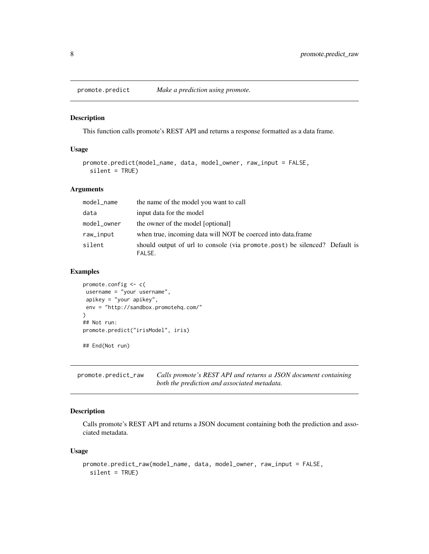<span id="page-7-1"></span><span id="page-7-0"></span>

#### Description

This function calls promote's REST API and returns a response formatted as a data frame.

### Usage

```
promote.predict(model_name, data, model_owner, raw_input = FALSE,
  silent = TRUE)
```
# Arguments

| model_name  | the name of the model you want to call                                               |
|-------------|--------------------------------------------------------------------------------------|
| data        | input data for the model                                                             |
| model_owner | the owner of the model [optional]                                                    |
| raw_input   | when true, incoming data will NOT be coerced into data.frame                         |
| silent      | should output of url to console (via promote post) be silenced? Default is<br>FALSE. |

#### Examples

```
promote.config <- c(
username = "your username",
 apikey = "your apikey",
 env = "http://sandbox.promotehq.com/"
\mathcal{L}## Not run:
promote.predict("irisModel", iris)
```
## End(Not run)

promote.predict\_raw *Calls promote's REST API and returns a JSON document containing both the prediction and associated metadata.*

# Description

Calls promote's REST API and returns a JSON document containing both the prediction and associated metadata.

#### Usage

```
promote.predict_raw(model_name, data, model_owner, raw_input = FALSE,
  silent = TRUE)
```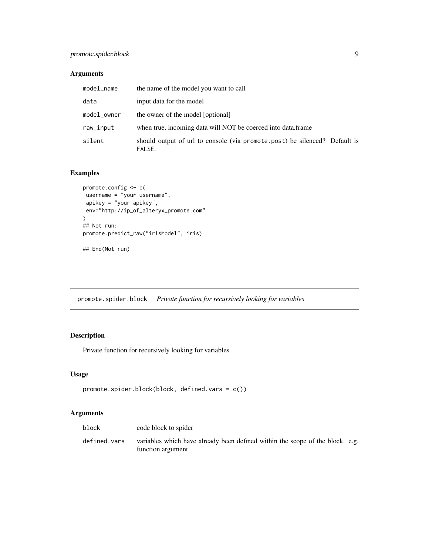# <span id="page-8-0"></span>Arguments

| model_name  | the name of the model you want to call                                               |
|-------------|--------------------------------------------------------------------------------------|
| data        | input data for the model                                                             |
| model_owner | the owner of the model [optional]                                                    |
| raw_input   | when true, incoming data will NOT be coerced into data.frame                         |
| silent      | should output of url to console (via promote post) be silenced? Default is<br>FALSE. |

# Examples

```
promote.config <- c(
username = "your username",
 apikey = "your apikey",
env="http://ip_of_alteryx_promote.com"
)
## Not run:
promote.predict_raw("irisModel", iris)
## End(Not run)
```
promote.spider.block *Private function for recursively looking for variables*

# Description

Private function for recursively looking for variables

# Usage

```
promote.spider.block(block, defined.vars = c())
```

| block        | code block to spider                                                                               |
|--------------|----------------------------------------------------------------------------------------------------|
| defined.vars | variables which have already been defined within the scope of the block. e.g.<br>function argument |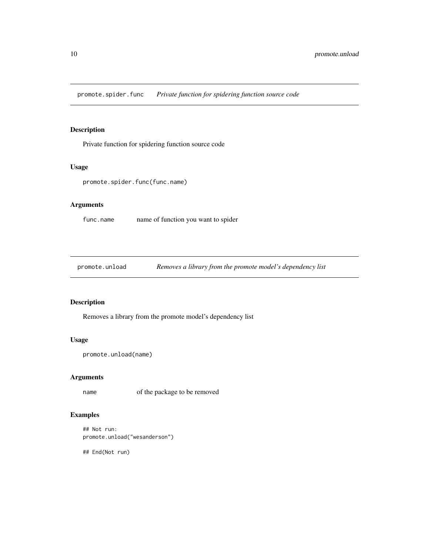<span id="page-9-0"></span>promote.spider.func *Private function for spidering function source code*

# Description

Private function for spidering function source code

### Usage

promote.spider.func(func.name)

# Arguments

func.name name of function you want to spider

promote.unload *Removes a library from the promote model's dependency list*

# Description

Removes a library from the promote model's dependency list

# Usage

```
promote.unload(name)
```
#### Arguments

name of the package to be removed

# Examples

```
## Not run:
promote.unload("wesanderson")
```
## End(Not run)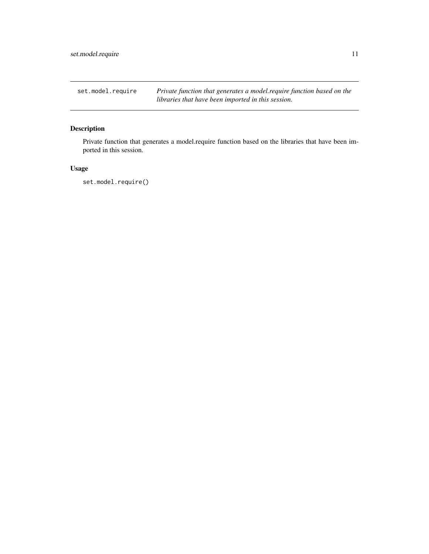<span id="page-10-0"></span>set.model.require *Private function that generates a model.require function based on the libraries that have been imported in this session.*

# Description

Private function that generates a model.require function based on the libraries that have been imported in this session.

# Usage

set.model.require()